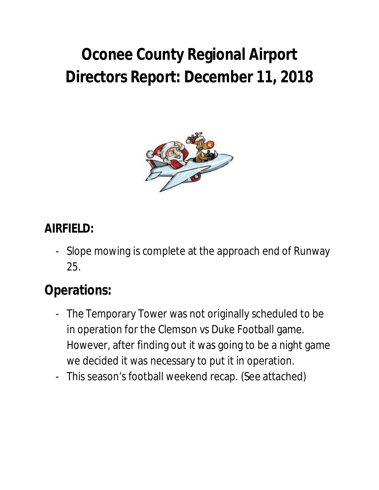## **Oconee County Regional Airport Directors Report: December 11, 2018**



#### **AIRFIELD:**

- Slope mowing is complete at the approach end of Runway 25.

## **Operations:**

- The Temporary Tower was not originally scheduled to be in operation for the Clemson vs Duke Football game. However, after finding out it was going to be a night game we decided it was necessary to put it in operation.
- This season's football weekend recap. (See attached)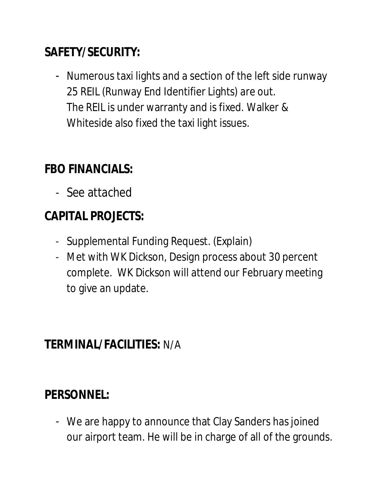### **SAFETY/SECURITY:**

- Numerous taxi lights and a section of the left side runway 25 REIL (Runway End Identifier Lights) are out. The REIL is under warranty and is fixed. Walker & Whiteside also fixed the taxi light issues.

## **FBO FINANCIALS:**

- See attached

## **CAPITAL PROJECTS:**

- Supplemental Funding Request. (Explain)
- Met with WK Dickson, Design process about 30 percent complete. WK Dickson will attend our February meeting to give an update.

#### **TERMINAL/FACILITIES:** N/A

## **PERSONNEL:**

- We are happy to announce that Clay Sanders has joined our airport team. He will be in charge of all of the grounds.